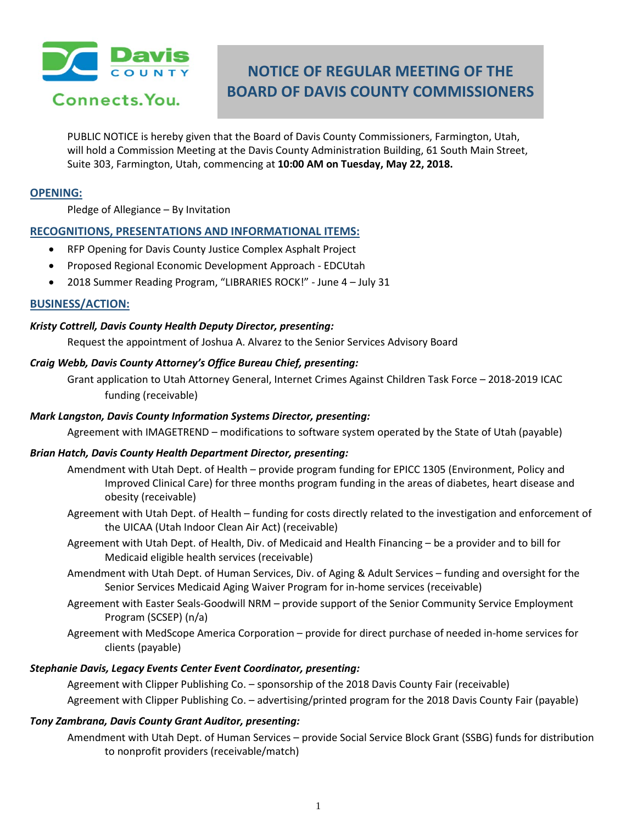

Connects. You.

# **NOTICE OF REGULAR MEETING OF THE BOARD OF DAVIS COUNTY COMMISSIONERS**

PUBLIC NOTICE is hereby given that the Board of Davis County Commissioners, Farmington, Utah, will hold a Commission Meeting at the Davis County Administration Building, 61 South Main Street, Suite 303, Farmington, Utah, commencing at **10:00 AM on Tuesday, May 22, 2018.**

#### **OPENING:**

Pledge of Allegiance – By Invitation

## **RECOGNITIONS, PRESENTATIONS AND INFORMATIONAL ITEMS:**

- RFP Opening for Davis County Justice Complex Asphalt Project
- Proposed Regional Economic Development Approach EDCUtah
- 2018 Summer Reading Program, "LIBRARIES ROCK!" June 4 July 31

## **BUSINESS/ACTION:**

#### *Kristy Cottrell, Davis County Health Deputy Director, presenting:*

Request the appointment of Joshua A. Alvarez to the Senior Services Advisory Board

#### *Craig Webb, Davis County Attorney's Office Bureau Chief, presenting:*

Grant application to Utah Attorney General, Internet Crimes Against Children Task Force – 2018-2019 ICAC funding (receivable)

## *Mark Langston, Davis County Information Systems Director, presenting:*

Agreement with IMAGETREND – modifications to software system operated by the State of Utah (payable)

#### *Brian Hatch, Davis County Health Department Director, presenting:*

- Amendment with Utah Dept. of Health provide program funding for EPICC 1305 (Environment, Policy and Improved Clinical Care) for three months program funding in the areas of diabetes, heart disease and obesity (receivable)
- Agreement with Utah Dept. of Health funding for costs directly related to the investigation and enforcement of the UICAA (Utah Indoor Clean Air Act) (receivable)
- Agreement with Utah Dept. of Health, Div. of Medicaid and Health Financing be a provider and to bill for Medicaid eligible health services (receivable)
- Amendment with Utah Dept. of Human Services, Div. of Aging & Adult Services funding and oversight for the Senior Services Medicaid Aging Waiver Program for in-home services (receivable)
- Agreement with Easter Seals-Goodwill NRM provide support of the Senior Community Service Employment Program (SCSEP) (n/a)
- Agreement with MedScope America Corporation provide for direct purchase of needed in-home services for clients (payable)

## *Stephanie Davis, Legacy Events Center Event Coordinator, presenting:*

Agreement with Clipper Publishing Co. – sponsorship of the 2018 Davis County Fair (receivable) Agreement with Clipper Publishing Co. – advertising/printed program for the 2018 Davis County Fair (payable)

## *Tony Zambrana, Davis County Grant Auditor, presenting:*

Amendment with Utah Dept. of Human Services – provide Social Service Block Grant (SSBG) funds for distribution to nonprofit providers (receivable/match)